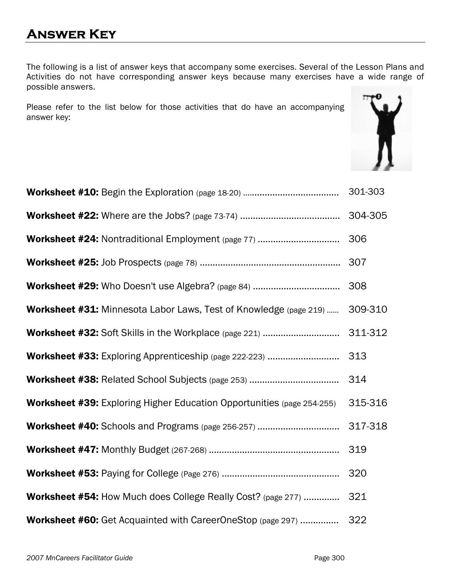The following is a list of answer keys that accompany some exercises. Several of the Lesson Plans and Activities do not have corresponding answer keys because many exercises have a wide range of possible answers.

Please refer to the list below for those activities that do have an accompanying answer key:



| <b>Worksheet #24: Nontraditional Employment (page 77) </b>                    | 306     |
|-------------------------------------------------------------------------------|---------|
|                                                                               | 307     |
|                                                                               | 308     |
| <b>Worksheet #31: Minnesota Labor Laws, Test of Knowledge (page 219) </b>     | 309-310 |
|                                                                               | 311-312 |
|                                                                               |         |
|                                                                               | 314     |
| <b>Worksheet #39:</b> Exploring Higher Education Opportunities (page 254-255) | 315-316 |
|                                                                               | 317-318 |
|                                                                               | 319     |
|                                                                               | 320     |
| Worksheet #54: How Much does College Really Cost? (page 277)                  | 321     |
| Worksheet #60: Get Acquainted with CareerOneStop (page 297)                   | 322     |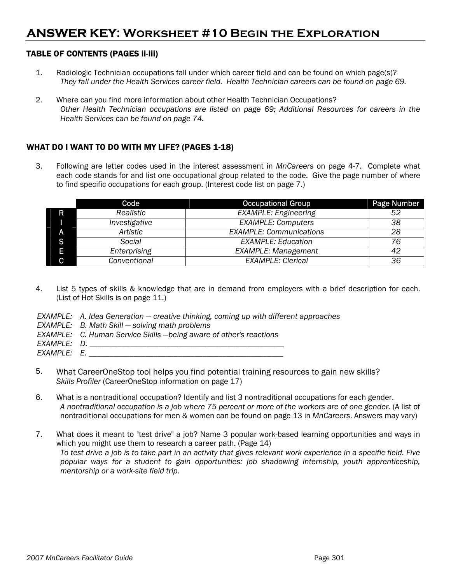#### TABLE OF CONTENTS (PAGES ii-iii)

- 1. Radiologic Technician occupations fall under which career field and can be found on which page(s)? *They fall under the Health Services career field. Health Technician careers can be found on page 69.*
- 2. Where can you find more information about other Health Technician Occupations? *Other Health Technician occupations are listed on page 69; Additional Resources for careers in the Health Services can be found on page 74.*

#### WHAT DO I WANT TO DO WITH MY LIFE? (PAGES 1-18)

3. Following are letter codes used in the interest assessment in *MnCareers* on page 4-7. Complete what each code stands for and list one occupational group related to the code. Give the page number of where to find specific occupations for each group. (Interest code list on page 7.)

|   | Code          | <b>Occupational Group</b>      | Page Number |
|---|---------------|--------------------------------|-------------|
| R | Realistic     | <b>EXAMPLE: Engineering</b>    | 52          |
|   | Investigative | <b>EXAMPLE: Computers</b>      | 38          |
| А | Artistic      | <b>EXAMPLE: Communications</b> | 28          |
| S | Social        | <b>EXAMPLE: Education</b>      | 76          |
| Ε | Enterprising  | <b>EXAMPLE: Management</b>     | 42          |
| C | Conventional  | <b>EXAMPLE: Clerical</b>       | 36          |

- 4. List 5 types of skills & knowledge that are in demand from employers with a brief description for each. (List of Hot Skills is on page 11.)
- *EXAMPLE: A. Idea Generation creative thinking, coming up with different approaches*
- *EXAMPLE: B. Math Skill solving math problems*
- *EXAMPLE: C. Human Service Skills —being aware of other's reactions*
- *EXAMPLE: D. \_\_\_\_\_\_\_\_\_\_\_\_\_\_\_\_\_\_\_\_\_\_\_\_\_\_\_\_\_\_\_\_\_\_\_\_\_\_\_\_\_\_\_\_\_\_\_\_*
- *EXAMPLE: E. \_\_\_\_\_\_\_\_\_\_\_\_\_\_\_\_\_\_\_\_\_\_\_\_\_\_\_\_\_\_\_\_\_\_\_\_\_\_\_\_\_\_\_\_\_\_\_\_*
- 5. What CareerOneStop tool helps you find potential training resources to gain new skills? *Skills Profiler* (CareerOneStop information on page 17)
- 6. What is a nontraditional occupation? Identify and list 3 nontraditional occupations for each gender. *A nontraditional occupation is a job where 75 percent or more of the workers are of one gender.* (A list of nontraditional occupations for men & women can be found on page 13 in *MnCareers*. Answers may vary)
- 7. What does it meant to "test drive" a job? Name 3 popular work-based learning opportunities and ways in which you might use them to research a career path. (Page 14) *To test drive a job is to take part in an activity that gives relevant work experience in a specific field. Five popular ways for a student to gain opportunities: job shadowing internship, youth apprenticeship, mentorship or a work-site field trip.*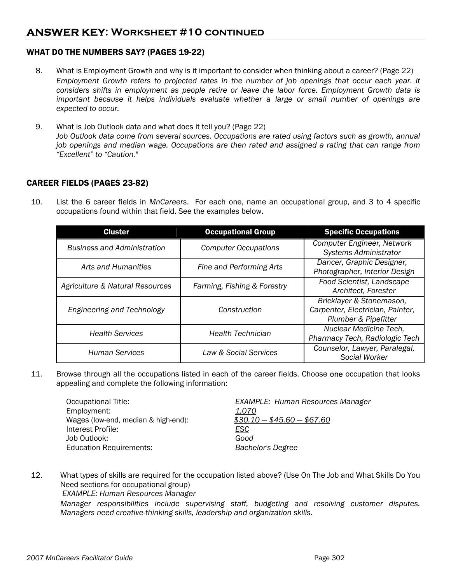#### WHAT DO THE NUMBERS SAY? (PAGES 19-22)

- 8. What is Employment Growth and why is it important to consider when thinking about a career? (Page 22) *Employment Growth refers to projected rates in the number of job openings that occur each year. It considers shifts in employment as people retire or leave the labor force. Employment Growth data is important because it helps individuals evaluate whether a large or small number of openings are expected to occur.*
- 9. What is Job Outlook data and what does it tell you? (Page 22) *Job Outlook data come from several sources. Occupations are rated using factors such as growth, annual job openings and median* wa*ge. Occupations are then rated and assigned a rating that can range from "Excellent" to "Caution."*

#### CAREER FIELDS (PAGES 23-82)

10. List the 6 career fields in *MnCareers*. For each one, name an occupational group, and 3 to 4 specific occupations found within that field. See the examples below.

| <b>Cluster</b>                     | <b>Occupational Group</b>   | <b>Specific Occupations</b>                                                          |
|------------------------------------|-----------------------------|--------------------------------------------------------------------------------------|
| <b>Business and Administration</b> | <b>Computer Occupations</b> | Computer Engineer, Network<br>Systems Administrator                                  |
| Arts and Humanities                | Fine and Performing Arts    | Dancer, Graphic Designer,<br>Photographer, Interior Design                           |
| Agriculture & Natural Resources    | Farming, Fishing & Forestry | Food Scientist, Landscape<br>Architect, Forester                                     |
| Engineering and Technology         | Construction                | Bricklayer & Stonemason,<br>Carpenter, Electrician, Painter,<br>Plumber & Pipefitter |
| <b>Health Services</b>             | <b>Health Technician</b>    | Nuclear Medicine Tech,<br>Pharmacy Tech, Radiologic Tech                             |
| <b>Human Services</b>              | Law & Social Services       | Counselor, Lawyer, Paralegal,<br>Social Worker                                       |

11. Browse through all the occupations listed in each of the career fields. Choose one occupation that looks appealing and complete the following information:

| Occupational Title:                 | <b>EXAMPLE: Human Resources Manager</b> |
|-------------------------------------|-----------------------------------------|
| Employment:                         | <u>1.070</u>                            |
| Wages (low-end, median & high-end): | $$30.10 - $45.60 - $67.60$              |
| Interest Profile:                   | <u>ESC</u>                              |
| Job Outlook:                        | Good                                    |
| <b>Education Requirements:</b>      | <b>Bachelor's Degree</b>                |

12. What types of skills are required for the occupation listed above? (Use On The Job and What Skills Do You Need sections for occupational group)  *EXAMPLE: Human Resources Manager Manager responsibilities include supervising staff, budgeting and resolving customer disputes. Managers need creative-thinking skills, leadership and organization skills.*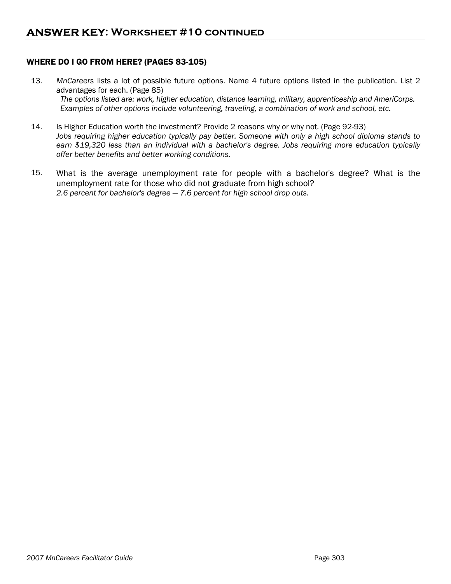#### WHERE DO I GO FROM HERE? (PAGES 83-105)

- 13. *MnCareers* lists a lot of possible future options. Name 4 future options listed in the publication. List 2 advantages for each. (Page 85) *The options listed are: work, higher education, distance learning, military, apprenticeship and AmeriCorps. Examples of other options include volunteering, traveling, a combination of work and school, etc.*
- 14. Is Higher Education worth the investment? Provide 2 reasons why or why not. (Page 92-93) *Jobs requiring higher education typically pay better. Someone with only a high school diploma stands to earn \$19,320 less than an individual with a bachelor's degree. Jobs requiring more education typically offer better benefits and better working conditions.*
- 15. What is the average unemployment rate for people with a bachelor's degree? What is the unemployment rate for those who did not graduate from high school? *2.6 percent for bachelor's degree — 7.6 percent for high school drop outs.*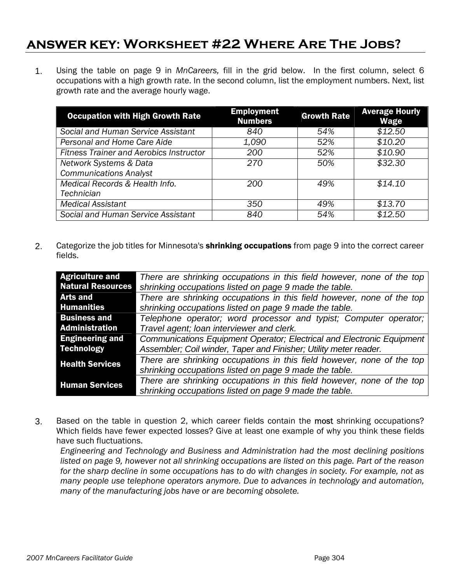# **ANSWER KEY: Worksheet #22 Where Are The Jobs?**

1. Using the table on page 9 in *MnCareers,* fill in the grid below. In the first column, select 6 occupations with a high growth rate. In the second column, list the employment numbers. Next, list growth rate and the average hourly wage.

| <b>Occupation with High Growth Rate</b>        | <b>Employment</b><br><b>Numbers</b> | <b>Growth Rate</b> | <b>Average Hourly</b><br>Wage |
|------------------------------------------------|-------------------------------------|--------------------|-------------------------------|
| Social and Human Service Assistant             | 840                                 | 54%                | $\sqrt{$12.50}$               |
| Personal and Home Care Aide                    | 1,090                               | 52%                | \$10.20                       |
| <b>Fitness Trainer and Aerobics Instructor</b> | 200                                 | 52%                | \$10.90                       |
| Network Systems & Data                         | 270                                 | 50%                | \$32.30                       |
| <b>Communications Analyst</b>                  |                                     |                    |                               |
| Medical Records & Health Info.                 | 200                                 | 49%                | \$14.10                       |
| <b>Technician</b>                              |                                     |                    |                               |
| <b>Medical Assistant</b>                       | 350                                 | 49%                | \$13.70                       |
| Social and Human Service Assistant             | 840                                 | 54%                | $\overline{$}12.50$           |

2. Categorize the job titles for Minnesota's **shrinking occupations** from page 9 into the correct career fields.

| <b>Agriculture and</b>   | There are shrinking occupations in this field however, none of the top |  |  |
|--------------------------|------------------------------------------------------------------------|--|--|
| <b>Natural Resources</b> | shrinking occupations listed on page 9 made the table.                 |  |  |
| <b>Arts and</b>          | There are shrinking occupations in this field however, none of the top |  |  |
| <b>Humanities</b>        | shrinking occupations listed on page 9 made the table.                 |  |  |
| <b>Business and</b>      | Telephone operator; word processor and typist; Computer operator;      |  |  |
| <b>Administration</b>    | Travel agent; loan interviewer and clerk.                              |  |  |
| <b>Engineering and</b>   | Communications Equipment Operator; Electrical and Electronic Equipment |  |  |
| <b>Technology</b>        | Assembler; Coil winder, Taper and Finisher; Utility meter reader.      |  |  |
| <b>Health Services</b>   | There are shrinking occupations in this field however, none of the top |  |  |
|                          | shrinking occupations listed on page 9 made the table.                 |  |  |
| <b>Human Services</b>    | There are shrinking occupations in this field however, none of the top |  |  |
|                          | shrinking occupations listed on page 9 made the table.                 |  |  |

3. Based on the table in question 2, which career fields contain the most shrinking occupations? Which fields have fewer expected losses? Give at least one example of why you think these fields have such fluctuations.

*Engineering and Technology and Business and Administration had the most declining positions*  listed on page 9, however not all shrinking occupations are listed on this page. Part of the reason *for the sharp decline in some occupations has to do with changes in society. For example, not as many people use telephone operators anymore. Due to advances in technology and automation, many of the manufacturing jobs have or are becoming obsolete.*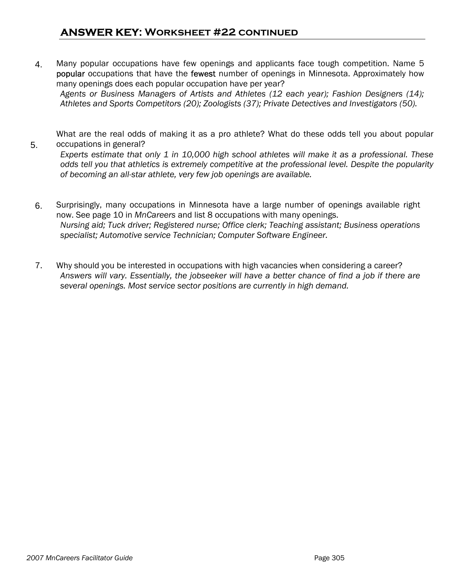4. Many popular occupations have few openings and applicants face tough competition. Name 5 popular occupations that have the fewest number of openings in Minnesota. Approximately how many openings does each popular occupation have per year? *Agents or Business Managers of Artists and Athletes (12 each year); Fashion Designers (14); Athletes and Sports Competitors (20); Zoologists (37); Private Detectives and Investigators (50).* 

 What are the real odds of making it as a pro athlete? What do these odds tell you about popular occupations in general?

*Experts estimate that only 1 in 10,000 high school athletes will make it as a professional. These odds tell you that athletics is extremely competitive at the professional level. Despite the popularity of becoming an all-star athlete, very few job openings are available.* 

- 6. Surprisingly, many occupations in Minnesota have a large number of openings available right now. See page 10 in *MnCareers* and list 8 occupations with many openings. *Nursing aid; Tuck driver; Registered nurse; Office clerk; Teaching assistant; Business operations specialist; Automotive service Technician; Computer Software Engineer.*
- 7. Why should you be interested in occupations with high vacancies when considering a career? *Answers will vary. Essentially, the jobseeker will have a better chance of find a job if there are several openings. Most service sector positions are currently in high demand.*

5.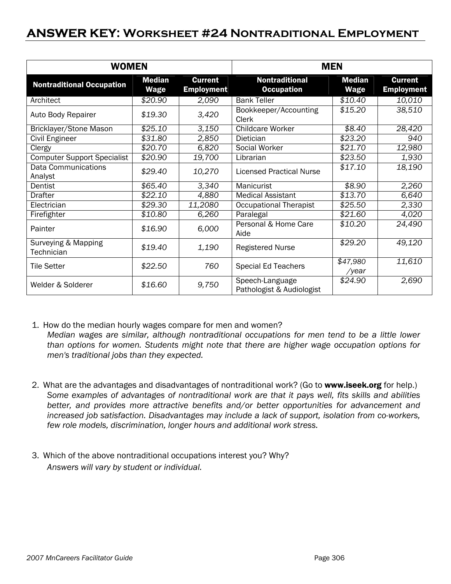### **ANSWER KEY: Worksheet #24 Nontraditional Employment**

| <b>WOMEN</b>                          |                       |                                     | <b>MEN</b>                                   |                              |                                     |
|---------------------------------------|-----------------------|-------------------------------------|----------------------------------------------|------------------------------|-------------------------------------|
| <b>Nontraditional Occupation</b>      | <b>Median</b><br>Wage | <b>Current</b><br><b>Employment</b> | <b>Nontraditional</b><br><b>Occupation</b>   | <b>Median</b><br><b>Wage</b> | <b>Current</b><br><b>Employment</b> |
| Architect                             | \$20.90               | 2,090                               | <b>Bank Teller</b>                           | \$10.40                      | 10,010                              |
| Auto Body Repairer                    | \$19.30               | 3,420                               | Bookkeeper/Accounting<br>Clerk               | \$15.20                      | 38,510                              |
| Bricklayer/Stone Mason                | \$25.10               | 3,150                               | <b>Childcare Worker</b>                      | \$8.40                       | 28,420                              |
| Civil Engineer                        | \$31.80               | 2,850                               | Dietician                                    | \$23.20                      | 940                                 |
| Clergy                                | \$20.70               | 6,820                               | Social Worker                                | \$21.70                      | 12,980                              |
| <b>Computer Support Specialist</b>    | \$20.90               | 19,700                              | Librarian                                    | \$23.50                      | 1,930                               |
| <b>Data Communications</b><br>Analyst | \$29.40               | 10,270                              | <b>Licensed Practical Nurse</b>              | \$17.10                      | 18,190                              |
| Dentist                               | \$65.40               | 3,340                               | Manicurist                                   | \$8.90                       | 2,260                               |
| Drafter                               | \$22.10               | 4,880                               | <b>Medical Assistant</b>                     | \$13.70                      | 6,640                               |
| Electrician                           | \$29.30               | 11,2080                             | <b>Occupational Therapist</b>                | \$25.50                      | 2,330                               |
| Firefighter                           | \$10.80               | 6,260                               | Paralegal                                    | \$21.60                      | 4,020                               |
| Painter                               | \$16.90               | 6,000                               | Personal & Home Care<br>Aide                 | \$10.20                      | 24,490                              |
| Surveying & Mapping<br>Technician     | \$19.40               | 1,190                               | <b>Registered Nurse</b>                      | \$29.20                      | 49,120                              |
| <b>Tile Setter</b>                    | \$22.50               | 760                                 | <b>Special Ed Teachers</b>                   | \$47,980<br>/year            | 11,610                              |
| Welder & Solderer                     | \$16.60               | 9,750                               | Speech-Language<br>Pathologist & Audiologist | \$24.90                      | 2,690                               |

- 1. How do the median hourly wages compare for men and women? *Median wages are similar, although nontraditional occupations for men tend to be a little lower than options for women. Students might note that there are higher wage occupation options for men's traditional jobs than they expected.*
- 2. What are the advantages and disadvantages of nontraditional work? (Go to www.iseek.org for help.) *Some examples of advantages of nontraditional work are that it pays well, fits skills and abilities better, and provides more attractive benefits and/or better opportunities for advancement and increased job satisfaction. Disadvantages may include a lack of support, isolation from co-workers, few role models, discrimination, longer hours and additional work stress.*
- 3. Which of the above nontraditional occupations interest you? Why? *Answers will vary by student or individual.*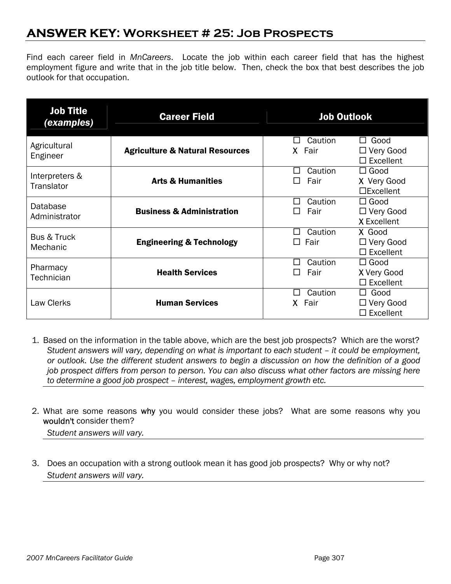## **ANSWER KEY: Worksheet # 25: Job Prospects**

Find each career field in *MnCareers*. Locate the job within each career field that has the highest employment figure and write that in the job title below. Then, check the box that best describes the job outlook for that occupation.

| <b>Job Title</b><br>(examples)     | <b>Career Field</b>                        | <b>Job Outlook</b>                                                               |  |
|------------------------------------|--------------------------------------------|----------------------------------------------------------------------------------|--|
| Agricultural<br>Engineer           | <b>Agriculture &amp; Natural Resources</b> | Caution<br>$\Box$ Good<br>X Fair<br>$\Box$ Very Good<br>$\Box$ Excellent         |  |
| Interpreters &<br>Translator       | <b>Arts &amp; Humanities</b>               | Caution<br>$\Box$ Good<br>П<br>Fair<br>X Very Good<br>$\mathsf{L}$<br>□Excellent |  |
| Database<br>Administrator          | <b>Business &amp; Administration</b>       | $\Box$ Good<br>Caution<br>П<br>Fair<br>$\Box$ Very Good<br>ΙI<br>X Excellent     |  |
| <b>Bus &amp; Truck</b><br>Mechanic | <b>Engineering &amp; Technology</b>        | Caution<br>X Good<br>Fair<br>$\Box$ Very Good<br>$\Box$ Excellent                |  |
| Pharmacy<br>Technician             | <b>Health Services</b>                     | Caution<br>$\Box$ Good<br>ΙI<br>Fair<br>X Very Good<br>$\Box$ Excellent          |  |
| Law Clerks                         | <b>Human Services</b>                      | Caution<br>$\Box$ Good<br>ΙI<br>X Fair<br>$\Box$ Very Good<br>$\Box$ Excellent   |  |

- 1. Based on the information in the table above, which are the best job prospects? Which are the worst? *Student answers will vary, depending on what is important to each student – it could be employment, or outlook. Use the different student answers to begin a discussion on how the definition of a good job prospect differs from person to person. You can also discuss what other factors are missing here to determine a good job prospect – interest, wages, employment growth etc.*
- 2. What are some reasons why you would consider these jobs? What are some reasons why you wouldn't consider them?

 *Student answers will vary.* 

3. Does an occupation with a strong outlook mean it has good job prospects? Why or why not?  *Student answers will vary.*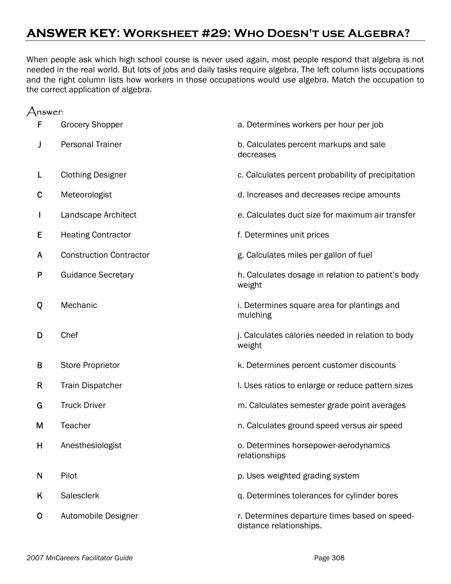## **ANSWER KEY: Worksheet #29: Who Doesn't use Algebra?**

When people ask which high school course is never used again, most people respond that algebra is not needed in the real world. But lots of jobs and daily tasks require algebra. The left column lists occupations and the right column lists how workers in those occupations would use algebra. Match the occupation to the correct application of algebra.

| nswer: |                                |                                                                          |
|--------|--------------------------------|--------------------------------------------------------------------------|
| F      | <b>Grocery Shopper</b>         | a. Determines workers per hour per job                                   |
| J      | <b>Personal Trainer</b>        | b. Calculates percent markups and sale<br>decreases                      |
| L      | <b>Clothing Designer</b>       | c. Calculates percent probability of precipitation                       |
| C      | Meteorologist                  | d. Increases and decreases recipe amounts                                |
| I      | Landscape Architect            | e. Calculates duct size for maximum air transfer                         |
| E      | <b>Heating Contractor</b>      | f. Determines unit prices                                                |
| A      | <b>Construction Contractor</b> | g. Calculates miles per gallon of fuel                                   |
| P      | <b>Guidance Secretary</b>      | h. Calculates dosage in relation to patient's body<br>weight             |
| Q      | Mechanic                       | i. Determines square area for plantings and<br>mulching                  |
| D      | Chef                           | j. Calculates calories needed in relation to body<br>weight              |
| B      | <b>Store Proprietor</b>        | k. Determines percent customer discounts                                 |
| R      | <b>Train Dispatcher</b>        | I. Uses ratios to enlarge or reduce pattern sizes                        |
| G      | <b>Truck Driver</b>            | m. Calculates semester grade point averages                              |
| M      | Teacher                        | n. Calculates ground speed versus air speed                              |
| н      | Anesthesiologist               | o. Determines horsepower-aerodynamics<br>relationships                   |
| N      | Pilot                          | p. Uses weighted grading system                                          |
| Κ      | Salesclerk                     | q. Determines tolerances for cylinder bores                              |
| O      | Automobile Designer            | r. Determines departure times based on speed-<br>distance relationships. |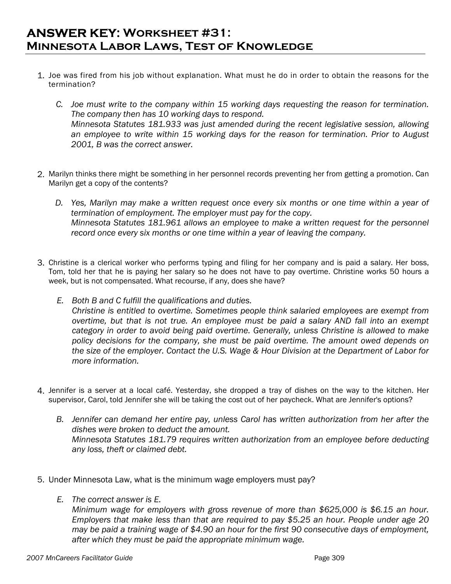## **ANSWER KEY: Worksheet #31: Minnesota Labor Laws, Test of Knowledge**

- 1. Joe was fired from his job without explanation. What must he do in order to obtain the reasons for the termination?
	- *C. Joe must write to the company within 15 working days requesting the reason for termination. The company then has 10 working days to respond. Minnesota Statutes 181.933 was just amended during the recent legislative session, allowing an employee to write within 15 working days for the reason for termination. Prior to August 2001, B was the correct answer.*
- 2. Marilyn thinks there might be something in her personnel records preventing her from getting a promotion. Can Marilyn get a copy of the contents?
	- *D. Yes, Marilyn may make a written request once every six months or one time within a year of termination of employment. The employer must pay for the copy. Minnesota Statutes 181.961 allows an employee to make a written request for the personnel record once every six months or one time within a year of leaving the company.*
- 3. Christine is a clerical worker who performs typing and filing for her company and is paid a salary. Her boss, Tom, told her that he is paying her salary so he does not have to pay overtime. Christine works 50 hours a week, but is not compensated. What recourse, if any, does she have?
	- *E. Both B and C fulfill the qualifications and duties. Christine is entitled to overtime. Sometimes people think salaried employees are exempt from overtime, but that is not true. An employee must be paid a salary AND fall into an exempt category in order to avoid being paid overtime. Generally, unless Christine is allowed to make policy decisions for the company, she must be paid overtime. The amount owed depends on the size of the employer. Contact the U.S. Wage & Hour Division at the Department of Labor for more information.*
- 4. Jennifer is a server at a local café. Yesterday, she dropped a tray of dishes on the way to the kitchen. Her supervisor, Carol, told Jennifer she will be taking the cost out of her paycheck. What are Jennifer's options?
	- *B. Jennifer can demand her entire pay, unless Carol has written authorization from her after the dishes were broken to deduct the amount. Minnesota Statutes 181.79 requires written authorization from an employee before deducting any loss, theft or claimed debt.*
- 5. Under Minnesota Law, what is the minimum wage employers must pay?
	- *E. The correct answer is E.*

 *Minimum wage for employers with gross revenue of more than \$625,000 is \$6.15 an hour. Employers that make less than that are required to pay \$5.25 an hour. People under age 20 may be paid a training wage of \$4.90 an hour for the first 90 consecutive days of employment, after which they must be paid the appropriate minimum wage.*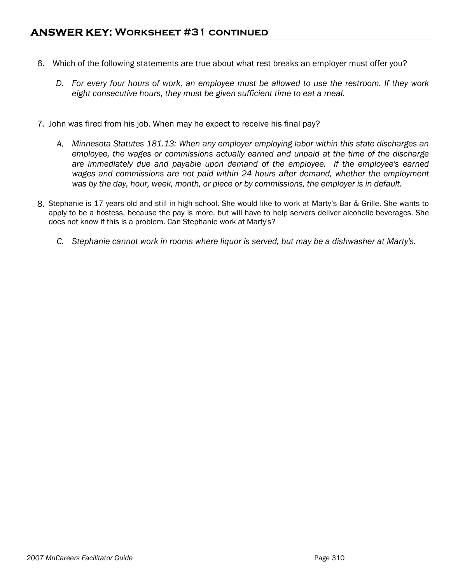- 6. Which of the following statements are true about what rest breaks an employer must offer you?
	- *D. For every four hours of work, an employee must be allowed to use the restroom. If they work eight consecutive hours, they must be given sufficient time to eat a meal.*
- 7. John was fired from his job. When may he expect to receive his final pay?
	- *A. Minnesota Statutes 181.13: When any employer employing labor within this state discharges an employee, the wages or commissions actually earned and unpaid at the time of the discharge are immediately due and payable upon demand of the employee. If the employee's earned wages and commissions are not paid within 24 hours after demand, whether the employment was by the day, hour, week, month, or piece or by commissions, the employer is in default.*
- 8. Stephanie is 17 years old and still in high school. She would like to work at Marty's Bar & Grille. She wants to apply to be a hostess, because the pay is more, but will have to help servers deliver alcoholic beverages. She does not know if this is a problem. Can Stephanie work at Marty's?
	- *C. Stephanie cannot work in rooms where liquor is served, but may be a dishwasher at Marty's.*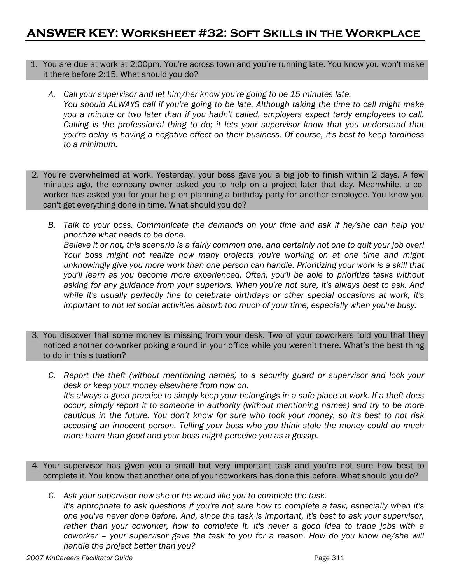#### 1. You are due at work at 2:00pm. You're across town and you're running late. You know you won't make it there before 2:15. What should you do?

- *A. Call your supervisor and let him/her know you're going to be 15 minutes late. You should ALWAYS call if you're going to be late. Although taking the time to call might make you a minute or two later than if you hadn't called, employers expect tardy employees to call. Calling is the professional thing to do; it lets your supervisor know that you understand that you're delay is having a negative effect on their business. Of course, it's best to keep tardiness to a minimum.*
- 2. You're overwhelmed at work. Yesterday, your boss gave you a big job to finish within 2 days. A few minutes ago, the company owner asked you to help on a project later that day. Meanwhile, a coworker has asked you for your help on planning a birthday party for another employee. You know you can't get everything done in time. What should you do?
	- *B. Talk to your boss. Communicate the demands on your time and ask if he/she can help you prioritize what needs to be done. Believe it or not, this scenario is a fairly common one, and certainly not one to quit your job over! Your boss might not realize how many projects you're working on at one time and might unknowingly give you more work than one person can handle. Prioritizing your work is a skill that you'll learn as you become more experienced. Often, you'll be able to prioritize tasks without asking for any guidance from your superiors. When you're not sure, it's always best to ask. And while it's usually perfectly fine to celebrate birthdays or other special occasions at work, it's important to not let social activities absorb too much of your time, especially when you're busy.*
- 3. You discover that some money is missing from your desk. Two of your coworkers told you that they noticed another co-worker poking around in your office while you weren't there. What's the best thing to do in this situation?

 *C. Report the theft (without mentioning names) to a security guard or supervisor and lock your desk or keep your money elsewhere from now on. It's always a good practice to simply keep your belongings in a safe place at work. If a theft does occur, simply report it to someone in authority (without mentioning names) and try to be more cautious in the future. You don't know for sure who took your money, so it's best to not risk accusing an innocent person. Telling your boss who you think stole the money could do much more harm than good and your boss might perceive you as a gossip.* 

- 4. Your supervisor has given you a small but very important task and you're not sure how best to complete it. You know that another one of your coworkers has done this before. What should you do?
	- *C. Ask your supervisor how she or he would like you to complete the task. It's appropriate to ask questions if you're not sure how to complete a task, especially when it's one you've never done before. And, since the task is important, it's best to ask your supervisor,*  rather than your coworker, how to complete it. It's never a good idea to trade jobs with a *coworker – your supervisor gave the task to you for a reason. How do you know he/she will handle the project better than you?*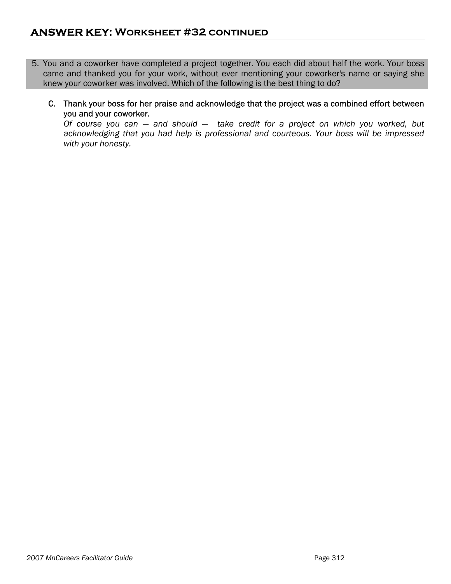- 5. You and a coworker have completed a project together. You each did about half the work. Your boss came and thanked you for your work, without ever mentioning your coworker's name or saying she knew your coworker was involved. Which of the following is the best thing to do?
	- C. Thank your boss for her praise and acknowledge that the project was a combined effort between you and your coworker.

 *Of course you can — and should — take credit for a project on which you worked, but acknowledging that you had help is professional and courteous. Your boss will be impressed with your honesty.*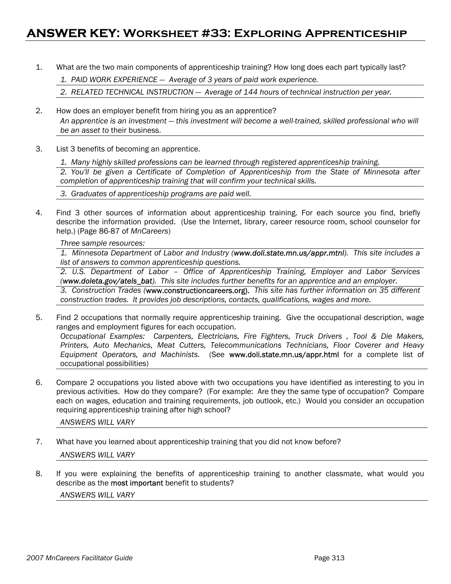### **ANSWER KEY: Worksheet #33: Exploring Apprenticeship**

1. What are the two main components of apprenticeship training? How long does each part typically last?

*1. PAID WORK EXPERIENCE — Average of 3 years of paid work experience.* 

*2. RELATED TECHNICAL INSTRUCTION — Average of 144 hours of technical instruction per year.* 

- 2. How does an employer benefit from hiring you as an apprentice? *An apprentice is an investment — this investment will become a well-trained, skilled professional who will be an asset to* their business.
- 3. List 3 benefits of becoming an apprentice.

 *1. Many highly skilled professions can be learned through registered apprenticeship training.* 

*2. You'll be given a Certificate of Completion of Apprenticeship from the State of Minnesota after completion of apprenticeship training that will confirm your technical skills.* 

 *3. Graduates of apprenticeship programs are paid well.* 

4. Find 3 other sources of information about apprenticeship training. For each source you find, briefly describe the information provided. (Use the Internet, library, career resource room, school counselor for help.) (Page 86-87 of *MnCareers*)

 *Three sample resources:* 

*1. Minnesota Department of Labor and Industry (www.doli.state.mn.us/appr.mtnl). This site includes a list of answers to common apprenticeship questions.* 

*2. U.S. Department of Labor – Office of Apprenticeship Training, Employer and Labor Services (www.doleta.gov/atels\_bat). This site includes further benefits for an apprentice and an employer.* 

*3. Construction Trades (*www.constructioncareers.org). *This site has further information on 35 different construction trades. It provides job descriptions, contacts, qualifications, wages and more.* 

5. Find 2 occupations that normally require apprenticeship training. Give the occupational description, wage ranges and employment figures for each occupation.

*Occupational Examples: Carpenters, Electricians, Fire Fighters, Truck Drivers , Tool & Die Makers, Printers, Auto Mechanics, Meat Cutters, Telecommunications Technicians, Floor Coverer and Heavy Equipment Operators, and Machinists.* (See www.doli.state.mn.us/appr.html for a complete list of occupational possibilities)

6. Compare 2 occupations you listed above with two occupations you have identified as interesting to you in previous activities. How do they compare? (For example: Are they the same type of occupation? Compare each on wages, education and training requirements, job outlook, etc.) Would you consider an occupation requiring apprenticeship training after high school?

 *ANSWERS WILL VARY* 

- 7. What have you learned about apprenticeship training that you did not know before? *ANSWERS WILL VARY*
- 8. If you were explaining the benefits of apprenticeship training to another classmate, what would you describe as the most important benefit to students? *ANSWERS WILL VARY*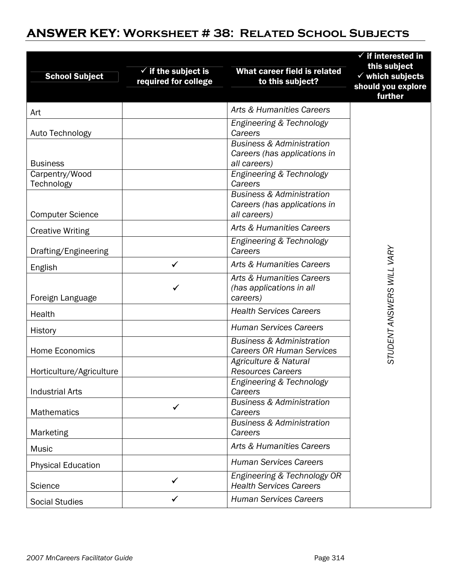# **ANSWER KEY: Worksheet # 38: Related School Subjects**

| <b>School Subject</b>        | $\checkmark$ if the subject is<br>required for college | What career field is related<br>to this subject?                                     | $\checkmark$ if interested in<br>this subject<br>$\checkmark$ which subjects<br>should you explore<br>further |
|------------------------------|--------------------------------------------------------|--------------------------------------------------------------------------------------|---------------------------------------------------------------------------------------------------------------|
| Art                          |                                                        | Arts & Humanities Careers                                                            |                                                                                                               |
| Auto Technology              |                                                        | Engineering & Technology<br>Careers                                                  |                                                                                                               |
| <b>Business</b>              |                                                        | <b>Business &amp; Administration</b><br>Careers (has applications in<br>all careers) |                                                                                                               |
| Carpentry/Wood<br>Technology |                                                        | Engineering & Technology<br>Careers                                                  |                                                                                                               |
| <b>Computer Science</b>      |                                                        | <b>Business &amp; Administration</b><br>Careers (has applications in<br>all careers) |                                                                                                               |
| <b>Creative Writing</b>      |                                                        | Arts & Humanities Careers                                                            |                                                                                                               |
| Drafting/Engineering         |                                                        | Engineering & Technology<br>Careers                                                  |                                                                                                               |
| English                      | ✓                                                      | Arts & Humanities Careers                                                            |                                                                                                               |
| Foreign Language             |                                                        | Arts & Humanities Careers<br>(has applications in all<br>careers)                    | STUDENT ANSWERS WILL VARY                                                                                     |
| Health                       |                                                        | <b>Health Services Careers</b>                                                       |                                                                                                               |
| History                      |                                                        | <b>Human Services Careers</b>                                                        |                                                                                                               |
| <b>Home Economics</b>        |                                                        | <b>Business &amp; Administration</b><br><b>Careers OR Human Services</b>             |                                                                                                               |
| Horticulture/Agriculture     |                                                        | Agriculture & Natural<br><b>Resources Careers</b>                                    |                                                                                                               |
| <b>Industrial Arts</b>       |                                                        | Engineering & Technology<br>Careers                                                  |                                                                                                               |
| <b>Mathematics</b>           |                                                        | <b>Business &amp; Administration</b><br>Careers                                      |                                                                                                               |
| Marketing                    |                                                        | <b>Business &amp; Administration</b><br>Careers                                      |                                                                                                               |
| Music                        |                                                        | Arts & Humanities Careers                                                            |                                                                                                               |
| <b>Physical Education</b>    |                                                        | <b>Human Services Careers</b>                                                        |                                                                                                               |
| Science                      | ✓                                                      | Engineering & Technology OR<br><b>Health Services Careers</b>                        |                                                                                                               |
| <b>Social Studies</b>        | ✓                                                      | <b>Human Services Careers</b>                                                        |                                                                                                               |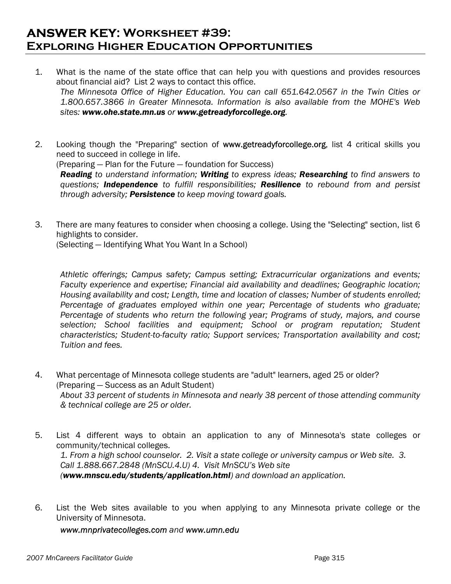### **ANSWER KEY: Worksheet #39: Exploring Higher Education Opportunities**

- 1. What is the name of the state office that can help you with questions and provides resources about financial aid? List 2 ways to contact this office. *The Minnesota Office of Higher Education. You can call 651.642.0567 in the Twin Cities or 1.800.657.3866 in Greater Minnesota. Information is also available from the MOHE's Web sites: www.ohe.state.mn.us or www.getreadyforcollege.org.*
- 2. Looking though the "Preparing" section of www.getreadyforcollege.org, list 4 critical skills you need to succeed in college in life.

(Preparing — Plan for the Future — foundation for Success)

*Reading to understand information; Writing to express ideas; Researching to find answers to questions; Independence to fulfill responsibilities; Resilience to rebound from and persist through adversity; Persistence to keep moving toward goals.* 

3. There are many features to consider when choosing a college. Using the "Selecting" section, list 6 highlights to consider.

(Selecting — Identifying What You Want In a School)

*Athletic offerings; Campus safety; Campus setting; Extracurricular organizations and events; Faculty experience and expertise; Financial aid availability and deadlines; Geographic location; Housing availability and cost; Length, time and location of classes; Number of students enrolled; Percentage of graduates employed within one year; Percentage of students who graduate; Percentage of students who return the following year; Programs of study, majors, and course selection; School facilities and equipment; School or program reputation; Student characteristics; Student-to-faculty ratio; Support services; Transportation availability and cost; Tuition and fees.* 

- 4. What percentage of Minnesota college students are "adult" learners, aged 25 or older? (Preparing — Success as an Adult Student) *About 33 percent of students in Minnesota and nearly 38 percent of those attending community & technical college are 25 or older.*
- 5. List 4 different ways to obtain an application to any of Minnesota's state colleges or community/technical colleges. *1. From a high school counselor. 2. Visit a state college or university campus or Web site. 3. Call 1.888.667.2848 (MnSCU.4.U) 4. Visit MnSCU's Web site (www.mnscu.edu/students/application.html) and download an application.*
- 6. List the Web sites available to you when applying to any Minnesota private college or the University of Minnesota.

 *www.mnprivatecolleges.com and www.umn.edu*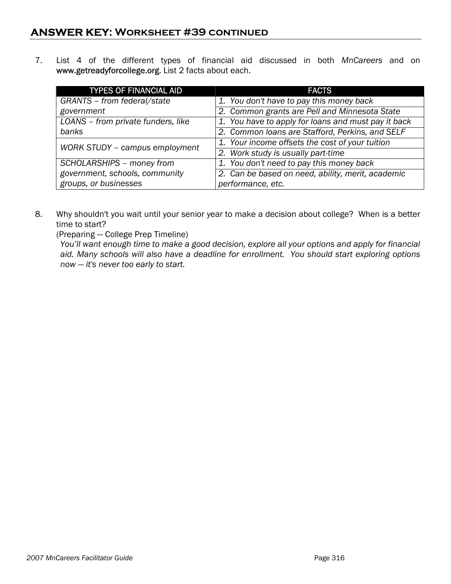7. List 4 of the different types of financial aid discussed in both *MnCareers* and on www.getreadyforcollege.org. List 2 facts about each.

| <b>TYPES OF FINANCIAL AID</b>      | <b>FACTS</b>                                        |
|------------------------------------|-----------------------------------------------------|
| GRANTS - from federal/state        | 1. You don't have to pay this money back            |
| government                         | 2. Common grants are Pell and Minnesota State       |
| LOANS - from private funders, like | 1. You have to apply for loans and must pay it back |
| banks                              | 2. Common loans are Stafford, Perkins, and SELF     |
| WORK STUDY - campus employment     | 1. Your income offsets the cost of your tuition     |
|                                    | 2. Work study is usually part-time                  |
| SCHOLARSHIPS - money from          | 1. You don't need to pay this money back            |
| government, schools, community     | 2. Can be based on need, ability, merit, academic   |
| groups, or businesses              | performance, etc.                                   |

8. Why shouldn't you wait until your senior year to make a decision about college? When is a better time to start?

(Preparing — College Prep Timeline)

*You'll want enough time to make a good decision, explore all your options and apply for financial aid. Many schools will also have a deadline for enrollment. You should start exploring options now — it's never too early to start.*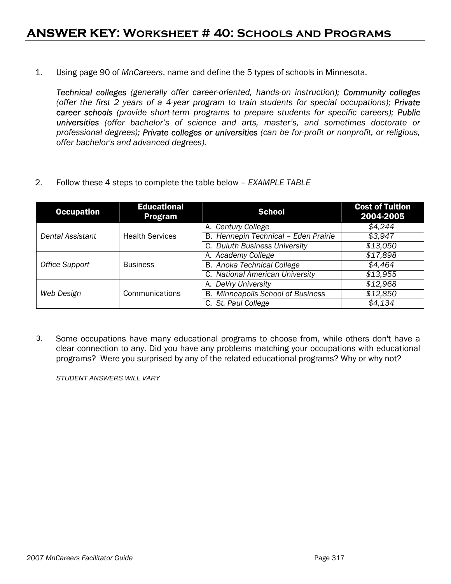1. Using page 90 of *MnCareers*, name and define the 5 types of schools in Minnesota.

 *Technical colleges (generally offer career-oriented, hands-on instruction); Community colleges (offer the first 2 years of a 4-year program to train students for special occupations); Private career schools (provide short-term programs to prepare students for specific careers); Public universities (offer bachelor's of science and arts, master's, and sometimes doctorate or professional degrees); Private colleges or universities (can be for-profit or nonprofit, or religious, offer bachelor's and advanced degrees).*

2. Follow these 4 steps to complete the table below – *EXAMPLE TABLE*

| <b>Occupation</b> | <b>Educational</b><br><b>Program</b> | <b>School</b>                            | <b>Cost of Tuition</b><br>2004-2005 |
|-------------------|--------------------------------------|------------------------------------------|-------------------------------------|
|                   |                                      | A. Century College                       | \$4,244                             |
| Dental Assistant  | <b>Health Services</b>               | B. Hennepin Technical - Eden Prairie     | \$3,947                             |
|                   |                                      | C. Duluth Business University            | \$13,050                            |
| Office Support    | <b>Business</b>                      | A. Academy College                       | \$17,898                            |
|                   |                                      | <b>B.</b> Anoka Technical College        | \$4,464                             |
|                   |                                      | C. National American University          | \$13.955                            |
|                   |                                      | A. DeVry University                      | \$12,968                            |
| Web Design        | Communications                       | <b>B.</b> Minneapolis School of Business | \$12,850                            |
|                   |                                      | C. St. Paul College                      | \$4,134                             |

3. Some occupations have many educational programs to choose from, while others don't have a clear connection to any. Did you have any problems matching your occupations with educational programs? Were you surprised by any of the related educational programs? Why or why not?

*STUDENT ANSWERS WILL VARY*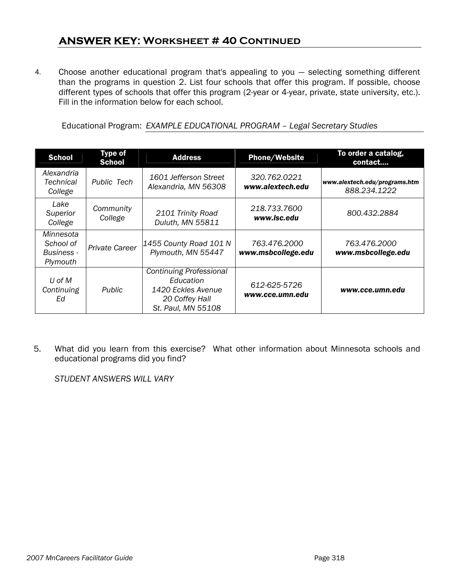### **ANSWER KEY: Worksheet # 40 Continued**

4. Choose another educational program that's appealing to you — selecting something different than the programs in question 2. List four schools that offer this program. If possible, choose different types of schools that offer this program (2-year or 4-year, private, state university, etc.). Fill in the information below for each school.

Educational Program: *EXAMPLE EDUCATIONAL PROGRAM – Legal Secretary Studies* 

| <b>School</b>                                           | <b>Type of</b><br><b>School</b> | <b>Address</b>                                                                                            | <b>Phone/Website</b>               | To order a catalog,<br>contact                |  |
|---------------------------------------------------------|---------------------------------|-----------------------------------------------------------------------------------------------------------|------------------------------------|-----------------------------------------------|--|
| Alexandria<br>Technical<br>College                      | Public Tech                     | 1601 Jefferson Street<br>Alexandria, MN 56308                                                             | 320.762.0221<br>www.alextech.edu   | www.alextech.edu/programs.htm<br>888.234.1222 |  |
| Lake<br>Superior<br>College                             | Community<br>College            | 2101 Trinity Road<br>Duluth, MN 55811                                                                     | 218.733.7600<br>www.lsc.edu        | 800.432.2884                                  |  |
| Minnesota<br>School of<br><b>Business -</b><br>Plymouth | <b>Private Career</b>           | 1455 County Road 101 N<br>Plymouth, MN 55447                                                              | 763.476.2000<br>www.msbcollege.edu | 763.476.2000<br>www.msbcollege.edu            |  |
| U of M<br>Continuing<br>Ed                              | Public                          | <b>Continuing Professional</b><br>Education<br>1420 Eckles Avenue<br>20 Coffey Hall<br>St. Paul, MN 55108 | 612-625-5726<br>www.cce.umn.edu    | www.cce.umn.edu                               |  |

5. What did you learn from this exercise? What other information about Minnesota schools and educational programs did you find?

*STUDENT ANSWERS WILL VARY*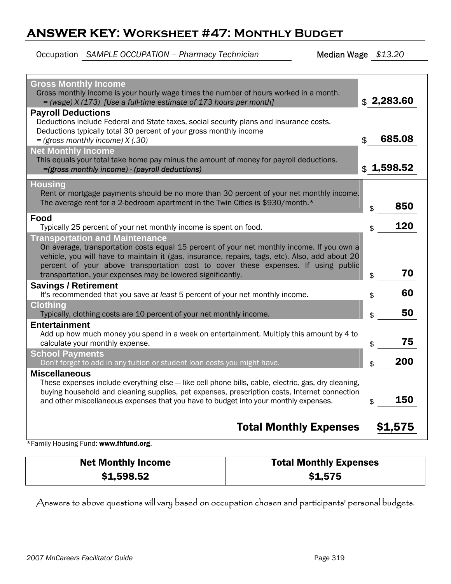## **ANSWER KEY: Worksheet #47: Monthly Budget**

Occupation *SAMPLE OCCUPATION – Pharmacy Technician* Median Wage *\$13.20* 

| <b>Gross Monthly Income</b><br>Gross monthly income is your hourly wage times the number of hours worked in a month.<br>$=$ (wage) X (173) [Use a full-time estimate of 173 hours per month]<br><b>Payroll Deductions</b><br>Deductions include Federal and State taxes, social security plans and insurance costs.<br>Deductions typically total 30 percent of your gross monthly income<br>$=$ (gross monthly income) $X(.30)$<br><b>Net Monthly Income</b> | \$2,283.60<br>685.08<br>$\mathfrak{L}$ |
|---------------------------------------------------------------------------------------------------------------------------------------------------------------------------------------------------------------------------------------------------------------------------------------------------------------------------------------------------------------------------------------------------------------------------------------------------------------|----------------------------------------|
| This equals your total take home pay minus the amount of money for payroll deductions.<br>=(gross monthly income) - (payroll deductions)                                                                                                                                                                                                                                                                                                                      | \$1,598.52                             |
| <b>Housing</b><br>Rent or mortgage payments should be no more than 30 percent of your net monthly income.<br>The average rent for a 2-bedroom apartment in the Twin Cities is \$930/month.*                                                                                                                                                                                                                                                                   | 850<br>\$                              |
| Food<br>Typically 25 percent of your net monthly income is spent on food.                                                                                                                                                                                                                                                                                                                                                                                     | 120<br>\$                              |
| <b>Transportation and Maintenance</b><br>On average, transportation costs equal 15 percent of your net monthly income. If you own a<br>vehicle, you will have to maintain it (gas, insurance, repairs, tags, etc). Also, add about 20<br>percent of your above transportation cost to cover these expenses. If using public<br>transportation, your expenses may be lowered significantly.                                                                    | 70                                     |
| <b>Savings / Retirement</b>                                                                                                                                                                                                                                                                                                                                                                                                                                   | \$                                     |
| It's recommended that you save at least 5 percent of your net monthly income.                                                                                                                                                                                                                                                                                                                                                                                 | 60<br>\$                               |
| <b>Clothing</b><br>Typically, clothing costs are 10 percent of your net monthly income.                                                                                                                                                                                                                                                                                                                                                                       | 50<br>\$                               |
| <b>Entertainment</b>                                                                                                                                                                                                                                                                                                                                                                                                                                          |                                        |
| Add up how much money you spend in a week on entertainment. Multiply this amount by 4 to<br>calculate your monthly expense.                                                                                                                                                                                                                                                                                                                                   | 75<br>\$                               |
| <b>School Payments</b>                                                                                                                                                                                                                                                                                                                                                                                                                                        | 200                                    |
| Don't forget to add in any tuition or student loan costs you might have.<br><b>Miscellaneous</b>                                                                                                                                                                                                                                                                                                                                                              | \$                                     |
| These expenses include everything else - like cell phone bills, cable, electric, gas, dry cleaning,<br>buying household and cleaning supplies, pet expenses, prescription costs, Internet connection<br>and other miscellaneous expenses that you have to budget into your monthly expenses.                                                                                                                                                                  | 150<br>\$                              |
| <b>Total Monthly Expenses</b>                                                                                                                                                                                                                                                                                                                                                                                                                                 | \$1,575                                |

\*Family Housing Fund: www.fhfund.org.

| <b>Net Monthly Income</b> | <b>Total Monthly Expenses</b> |
|---------------------------|-------------------------------|
| \$1,598.52                | \$1,575                       |

Answers to above questions will vary based on occupation chosen and participants' personal budgets.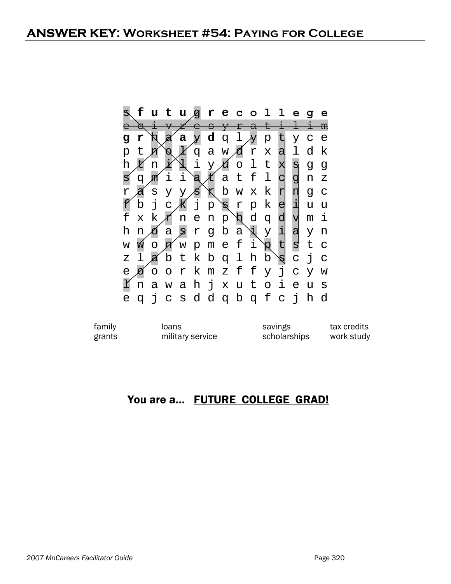| S. |             |   |                |       |              | f u t u g r e c o l l e g                                   |      |     |         |                          |              |                |                  | e            |
|----|-------------|---|----------------|-------|--------------|-------------------------------------------------------------|------|-----|---------|--------------------------|--------------|----------------|------------------|--------------|
|    |             |   |                | Ł     |              | <del>esyrati</del>                                          |      |     |         |                          |              |                | <del>l i m</del> |              |
|    | r           |   |                | a     |              | $\boldsymbol{\mathsf{y}}$ d q l $\boldsymbol{\mathsf{y}}$ p |      |     |         |                          | t            | У              | $\mathbf C$      | $\epsilon$   |
|    | t.          |   | Ø              |       |              | qawdrxa                                                     |      |     |         |                          |              | l.             | d k              |              |
| h  |             | n |                |       | i            |                                                             | y xí |     | o l t   |                          | X            | $\overline{a}$ | g                | g            |
|    | q           | m | i              | i     |              | $\alpha$ $k$                                                |      |     | a t f   | 1                        |              | g              | n                | $\mathbf{Z}$ |
| r  |             | S | У              | У     | ś            | $\mathcal{X}$                                               |      |     | b w x k |                          | r            | η              | q                | $\mathsf{C}$ |
|    | b           | j | $\overline{C}$ | Ж     | $\mathbf{j}$ | р                                                           | Ø    | r p |         | k                        | e            | i              | u                | u            |
| f  | $\mathbf x$ |   | $k \not\leq$   | n e n |              |                                                             | p    | Ŕ   | d       | $\sigma$                 | d            | ⋁              | m                | i            |
| h  | n           |   | $\mathsf{a}$   |       |              | gr g b                                                      |      | a   |         | $\vec{A}$ X              | ᇺ            | a              | y                | n            |
| W  |             |   |                |       |              | ои́мрmе f                                                   |      |     | i       | $\overline{\mathcal{R}}$ |              | ຮ              | t.               | $\mathsf{C}$ |
| Ζ  |             |   |                |       |              | abtkbqlh                                                    |      |     |         | $\mathsf{d}$             | Ŕ            | $\mathbf C$    | j                | $\mathsf{C}$ |
| e  |             |   |                |       |              | oorkmzffy                                                   |      |     |         |                          | $\mathbf{j}$ |                | c y w            |              |
|    | n           | a |                |       |              | wahjxuto                                                    |      |     |         |                          | i,           | e              | u                | S            |
| е  | $\sigma$    |   |                |       |              | jcsddqbqfc                                                  |      |     |         |                          |              | j              | h                | d            |

| family | loans            | savings      | tax credits |
|--------|------------------|--------------|-------------|
| grants | military service | scholarships | work study  |

## You are a... FUTURE COLLEGE GRAD!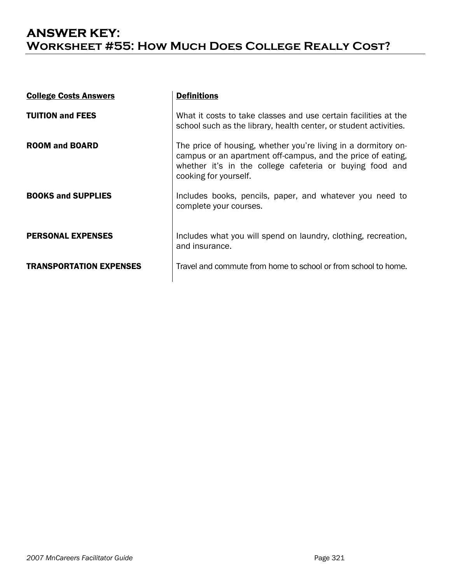## **ANSWER KEY: Worksheet #55: How Much Does College Really Cost?**

| <b>College Costs Answers</b>   | <b>Definitions</b>                                                                                                                                                                                                 |
|--------------------------------|--------------------------------------------------------------------------------------------------------------------------------------------------------------------------------------------------------------------|
| <b>TUITION and FEES</b>        | What it costs to take classes and use certain facilities at the<br>school such as the library, health center, or student activities.                                                                               |
| <b>ROOM and BOARD</b>          | The price of housing, whether you're living in a dormitory on-<br>campus or an apartment off-campus, and the price of eating,<br>whether it's in the college cafeteria or buying food and<br>cooking for yourself. |
| <b>BOOKS and SUPPLIES</b>      | Includes books, pencils, paper, and whatever you need to<br>complete your courses.                                                                                                                                 |
| <b>PERSONAL EXPENSES</b>       | Includes what you will spend on laundry, clothing, recreation,<br>and insurance.                                                                                                                                   |
| <b>TRANSPORTATION EXPENSES</b> | Travel and commute from home to school or from school to home.                                                                                                                                                     |